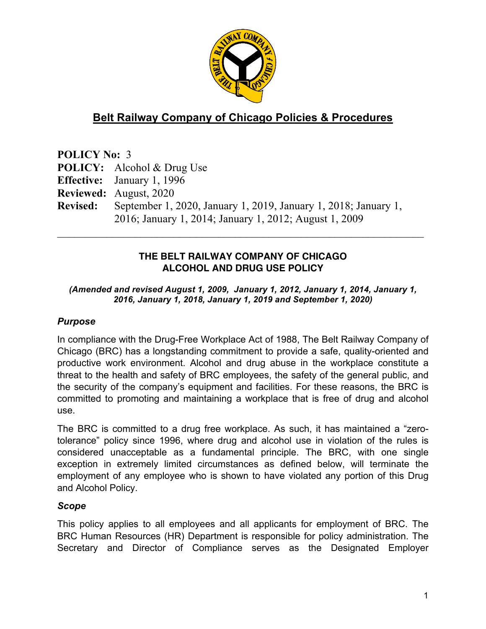

# **Belt Railway Company of Chicago Policies & Procedures**

**POLICY No:** 3 **POLICY:** Alcohol & Drug Use **Effective:** January 1, 1996 **Reviewed:** August, 2020 **Revised:** September 1, 2020, January 1, 2019, January 1, 2018; January 1, 2016; January 1, 2014; January 1, 2012; August 1, 2009  $\mathcal{L}_\text{max}$  and  $\mathcal{L}_\text{max}$  and  $\mathcal{L}_\text{max}$  and  $\mathcal{L}_\text{max}$  and  $\mathcal{L}_\text{max}$  and  $\mathcal{L}_\text{max}$ 

#### **THE BELT RAILWAY COMPANY OF CHICAGO ALCOHOL AND DRUG USE POLICY**

#### *(Amended and revised August 1, 2009, January 1, 2012, January 1, 2014, January 1, 2016, January 1, 2018, January 1, 2019 and September 1, 2020)*

# *Purpose*

In compliance with the Drug-Free Workplace Act of 1988, The Belt Railway Company of Chicago (BRC) has a longstanding commitment to provide a safe, quality-oriented and productive work environment. Alcohol and drug abuse in the workplace constitute a threat to the health and safety of BRC employees, the safety of the general public, and the security of the company's equipment and facilities. For these reasons, the BRC is committed to promoting and maintaining a workplace that is free of drug and alcohol use.

The BRC is committed to a drug free workplace. As such, it has maintained a "zerotolerance" policy since 1996, where drug and alcohol use in violation of the rules is considered unacceptable as a fundamental principle. The BRC, with one single exception in extremely limited circumstances as defined below, will terminate the employment of any employee who is shown to have violated any portion of this Drug and Alcohol Policy.

#### *Scope*

This policy applies to all employees and all applicants for employment of BRC. The BRC Human Resources (HR) Department is responsible for policy administration. The Secretary and Director of Compliance serves as the Designated Employer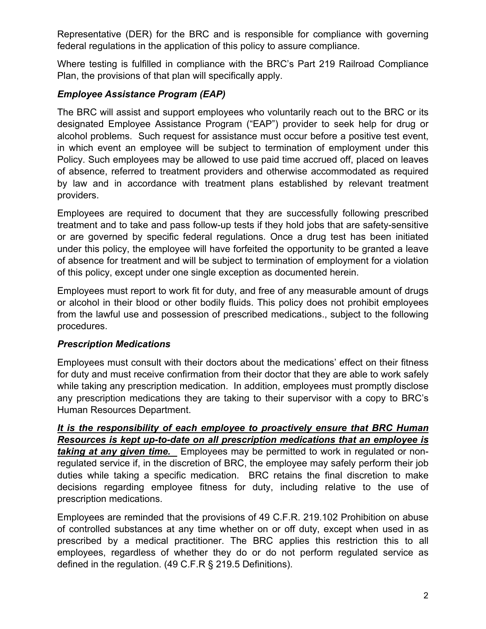Representative (DER) for the BRC and is responsible for compliance with governing federal regulations in the application of this policy to assure compliance.

Where testing is fulfilled in compliance with the BRC's Part 219 Railroad Compliance Plan, the provisions of that plan will specifically apply.

### *Employee Assistance Program (EAP)*

The BRC will assist and support employees who voluntarily reach out to the BRC or its designated Employee Assistance Program ("EAP") provider to seek help for drug or alcohol problems. Such request for assistance must occur before a positive test event, in which event an employee will be subject to termination of employment under this Policy. Such employees may be allowed to use paid time accrued off, placed on leaves of absence, referred to treatment providers and otherwise accommodated as required by law and in accordance with treatment plans established by relevant treatment providers.

Employees are required to document that they are successfully following prescribed treatment and to take and pass follow-up tests if they hold jobs that are safety-sensitive or are governed by specific federal regulations. Once a drug test has been initiated under this policy, the employee will have forfeited the opportunity to be granted a leave of absence for treatment and will be subject to termination of employment for a violation of this policy, except under one single exception as documented herein.

Employees must report to work fit for duty, and free of any measurable amount of drugs or alcohol in their blood or other bodily fluids. This policy does not prohibit employees from the lawful use and possession of prescribed medications., subject to the following procedures.

#### *Prescription Medications*

Employees must consult with their doctors about the medications' effect on their fitness for duty and must receive confirmation from their doctor that they are able to work safely while taking any prescription medication. In addition, employees must promptly disclose any prescription medications they are taking to their supervisor with a copy to BRC's Human Resources Department.

*It is the responsibility of each employee to proactively ensure that BRC Human Resources is kept up-to-date on all prescription medications that an employee is taking at any given time.* Employees may be permitted to work in regulated or nonregulated service if, in the discretion of BRC, the employee may safely perform their job duties while taking a specific medication. BRC retains the final discretion to make decisions regarding employee fitness for duty, including relative to the use of prescription medications.

Employees are reminded that the provisions of 49 C.F.R. 219.102 Prohibition on abuse of controlled substances at any time whether on or off duty, except when used in as prescribed by a medical practitioner. The BRC applies this restriction this to all employees, regardless of whether they do or do not perform regulated service as defined in the regulation. (49 C.F.R § 219.5 Definitions).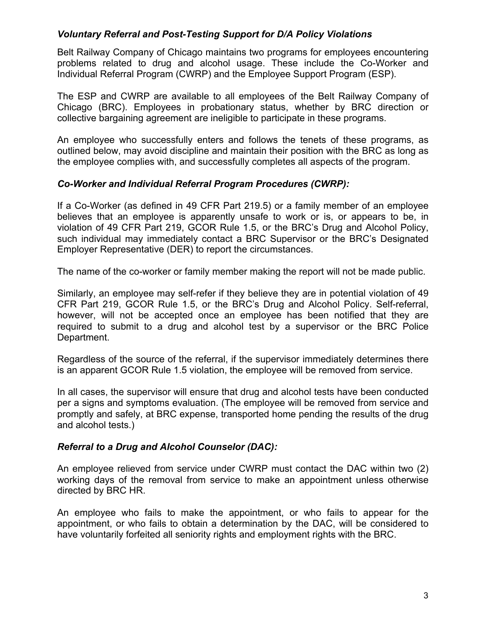#### *Voluntary Referral and Post-Testing Support for D/A Policy Violations*

Belt Railway Company of Chicago maintains two programs for employees encountering problems related to drug and alcohol usage. These include the Co-Worker and Individual Referral Program (CWRP) and the Employee Support Program (ESP).

The ESP and CWRP are available to all employees of the Belt Railway Company of Chicago (BRC). Employees in probationary status, whether by BRC direction or collective bargaining agreement are ineligible to participate in these programs.

An employee who successfully enters and follows the tenets of these programs, as outlined below, may avoid discipline and maintain their position with the BRC as long as the employee complies with, and successfully completes all aspects of the program.

#### *Co-Worker and Individual Referral Program Procedures (CWRP):*

If a Co-Worker (as defined in 49 CFR Part 219.5) or a family member of an employee believes that an employee is apparently unsafe to work or is, or appears to be, in violation of 49 CFR Part 219, GCOR Rule 1.5, or the BRC's Drug and Alcohol Policy, such individual may immediately contact a BRC Supervisor or the BRC's Designated Employer Representative (DER) to report the circumstances.

The name of the co-worker or family member making the report will not be made public.

Similarly, an employee may self-refer if they believe they are in potential violation of 49 CFR Part 219, GCOR Rule 1.5, or the BRC's Drug and Alcohol Policy. Self-referral, however, will not be accepted once an employee has been notified that they are required to submit to a drug and alcohol test by a supervisor or the BRC Police Department.

Regardless of the source of the referral, if the supervisor immediately determines there is an apparent GCOR Rule 1.5 violation, the employee will be removed from service.

In all cases, the supervisor will ensure that drug and alcohol tests have been conducted per a signs and symptoms evaluation. (The employee will be removed from service and promptly and safely, at BRC expense, transported home pending the results of the drug and alcohol tests.)

#### *Referral to a Drug and Alcohol Counselor (DAC):*

An employee relieved from service under CWRP must contact the DAC within two (2) working days of the removal from service to make an appointment unless otherwise directed by BRC HR.

An employee who fails to make the appointment, or who fails to appear for the appointment, or who fails to obtain a determination by the DAC, will be considered to have voluntarily forfeited all seniority rights and employment rights with the BRC.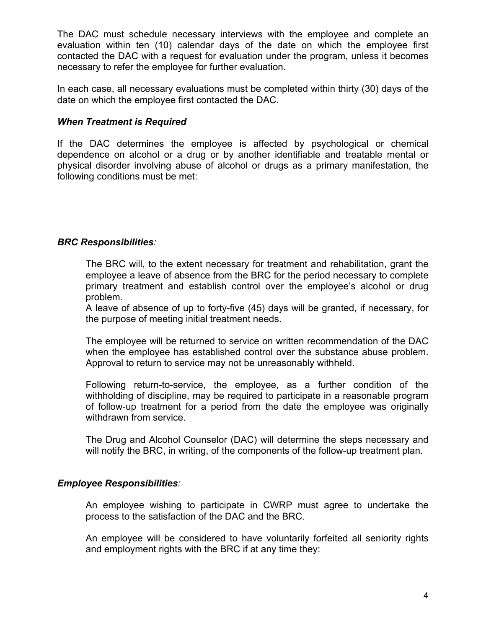The DAC must schedule necessary interviews with the employee and complete an evaluation within ten (10) calendar days of the date on which the employee first contacted the DAC with a request for evaluation under the program, unless it becomes necessary to refer the employee for further evaluation.

In each case, all necessary evaluations must be completed within thirty (30) days of the date on which the employee first contacted the DAC.

#### *When Treatment is Required*

If the DAC determines the employee is affected by psychological or chemical dependence on alcohol or a drug or by another identifiable and treatable mental or physical disorder involving abuse of alcohol or drugs as a primary manifestation, the following conditions must be met:

#### *BRC Responsibilities:*

The BRC will, to the extent necessary for treatment and rehabilitation, grant the employee a leave of absence from the BRC for the period necessary to complete primary treatment and establish control over the employee's alcohol or drug problem.

A leave of absence of up to forty-five (45) days will be granted, if necessary, for the purpose of meeting initial treatment needs.

The employee will be returned to service on written recommendation of the DAC when the employee has established control over the substance abuse problem. Approval to return to service may not be unreasonably withheld.

Following return-to-service, the employee, as a further condition of the withholding of discipline, may be required to participate in a reasonable program of follow-up treatment for a period from the date the employee was originally withdrawn from service.

The Drug and Alcohol Counselor (DAC) will determine the steps necessary and will notify the BRC, in writing, of the components of the follow-up treatment plan.

#### *Employee Responsibilities:*

An employee wishing to participate in CWRP must agree to undertake the process to the satisfaction of the DAC and the BRC.

An employee will be considered to have voluntarily forfeited all seniority rights and employment rights with the BRC if at any time they: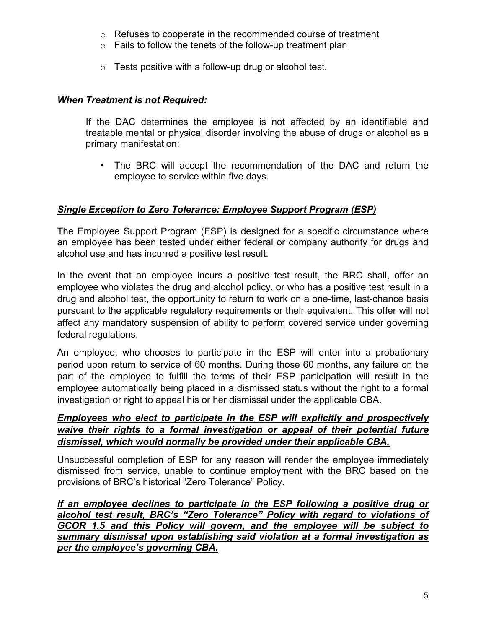- o Refuses to cooperate in the recommended course of treatment
- $\circ$  Fails to follow the tenets of the follow-up treatment plan
- $\circ$  Tests positive with a follow-up drug or alcohol test.

### *When Treatment is not Required:*

If the DAC determines the employee is not affected by an identifiable and treatable mental or physical disorder involving the abuse of drugs or alcohol as a primary manifestation:

• The BRC will accept the recommendation of the DAC and return the employee to service within five days.

# *Single Exception to Zero Tolerance: Employee Support Program (ESP)*

The Employee Support Program (ESP) is designed for a specific circumstance where an employee has been tested under either federal or company authority for drugs and alcohol use and has incurred a positive test result.

In the event that an employee incurs a positive test result, the BRC shall, offer an employee who violates the drug and alcohol policy, or who has a positive test result in a drug and alcohol test, the opportunity to return to work on a one-time, last-chance basis pursuant to the applicable regulatory requirements or their equivalent. This offer will not affect any mandatory suspension of ability to perform covered service under governing federal regulations.

An employee, who chooses to participate in the ESP will enter into a probationary period upon return to service of 60 months. During those 60 months, any failure on the part of the employee to fulfill the terms of their ESP participation will result in the employee automatically being placed in a dismissed status without the right to a formal investigation or right to appeal his or her dismissal under the applicable CBA.

#### *Employees who elect to participate in the ESP will explicitly and prospectively waive their rights to a formal investigation or appeal of their potential future dismissal, which would normally be provided under their applicable CBA.*

Unsuccessful completion of ESP for any reason will render the employee immediately dismissed from service, unable to continue employment with the BRC based on the provisions of BRC's historical "Zero Tolerance" Policy.

*If an employee declines to participate in the ESP following a positive drug or alcohol test result, BRC's "Zero Tolerance" Policy with regard to violations of GCOR 1.5 and this Policy will govern, and the employee will be subject to summary dismissal upon establishing said violation at a formal investigation as per the employee's governing CBA.*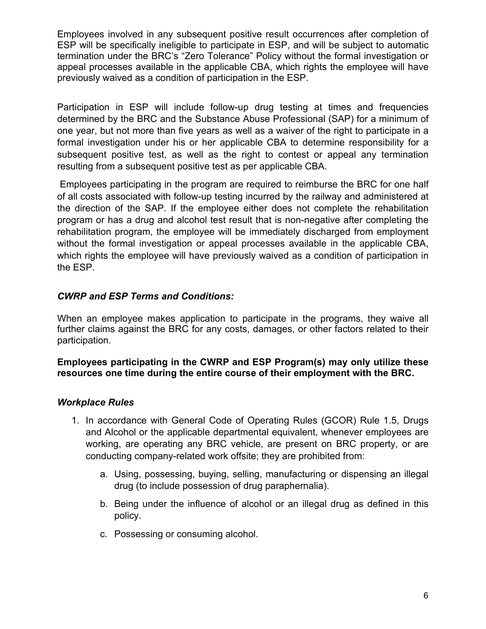Employees involved in any subsequent positive result occurrences after completion of ESP will be specifically ineligible to participate in ESP, and will be subject to automatic termination under the BRC's "Zero Tolerance" Policy without the formal investigation or appeal processes available in the applicable CBA, which rights the employee will have previously waived as a condition of participation in the ESP.

Participation in ESP will include follow-up drug testing at times and frequencies determined by the BRC and the Substance Abuse Professional (SAP) for a minimum of one year, but not more than five years as well as a waiver of the right to participate in a formal investigation under his or her applicable CBA to determine responsibility for a subsequent positive test, as well as the right to contest or appeal any termination resulting from a subsequent positive test as per applicable CBA.

 Employees participating in the program are required to reimburse the BRC for one half of all costs associated with follow-up testing incurred by the railway and administered at the direction of the SAP. If the employee either does not complete the rehabilitation program or has a drug and alcohol test result that is non-negative after completing the rehabilitation program, the employee will be immediately discharged from employment without the formal investigation or appeal processes available in the applicable CBA, which rights the employee will have previously waived as a condition of participation in the ESP.

### *CWRP and ESP Terms and Conditions:*

When an employee makes application to participate in the programs, they waive all further claims against the BRC for any costs, damages, or other factors related to their participation.

#### **Employees participating in the CWRP and ESP Program(s) may only utilize these resources one time during the entire course of their employment with the BRC.**

#### *Workplace Rules*

- 1. In accordance with General Code of Operating Rules (GCOR) Rule 1.5, Drugs and Alcohol or the applicable departmental equivalent, whenever employees are working, are operating any BRC vehicle, are present on BRC property, or are conducting company-related work offsite; they are prohibited from:
	- a. Using, possessing, buying, selling, manufacturing or dispensing an illegal drug (to include possession of drug paraphernalia).
	- b. Being under the influence of alcohol or an illegal drug as defined in this policy.
	- c. Possessing or consuming alcohol.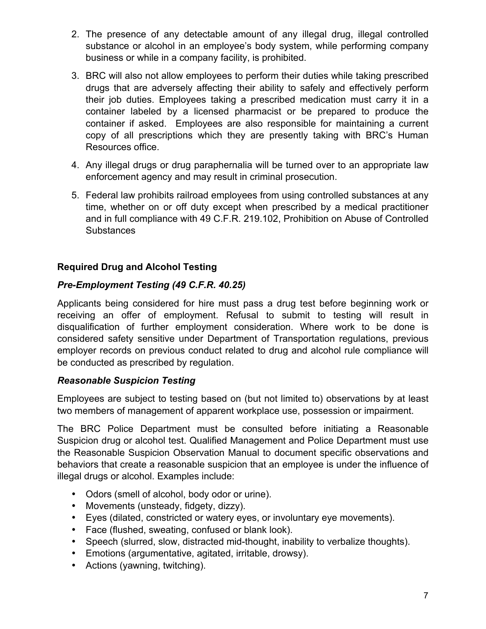- 2. The presence of any detectable amount of any illegal drug, illegal controlled substance or alcohol in an employee's body system, while performing company business or while in a company facility, is prohibited.
- 3. BRC will also not allow employees to perform their duties while taking prescribed drugs that are adversely affecting their ability to safely and effectively perform their job duties. Employees taking a prescribed medication must carry it in a container labeled by a licensed pharmacist or be prepared to produce the container if asked. Employees are also responsible for maintaining a current copy of all prescriptions which they are presently taking with BRC's Human Resources office.
- 4. Any illegal drugs or drug paraphernalia will be turned over to an appropriate law enforcement agency and may result in criminal prosecution.
- 5. Federal law prohibits railroad employees from using controlled substances at any time, whether on or off duty except when prescribed by a medical practitioner and in full compliance with 49 C.F.R. 219.102, Prohibition on Abuse of Controlled **Substances**

# **Required Drug and Alcohol Testing**

# *Pre-Employment Testing (49 C.F.R. 40.25)*

Applicants being considered for hire must pass a drug test before beginning work or receiving an offer of employment. Refusal to submit to testing will result in disqualification of further employment consideration. Where work to be done is considered safety sensitive under Department of Transportation regulations, previous employer records on previous conduct related to drug and alcohol rule compliance will be conducted as prescribed by regulation.

#### *Reasonable Suspicion Testing*

Employees are subject to testing based on (but not limited to) observations by at least two members of management of apparent workplace use, possession or impairment.

The BRC Police Department must be consulted before initiating a Reasonable Suspicion drug or alcohol test. Qualified Management and Police Department must use the Reasonable Suspicion Observation Manual to document specific observations and behaviors that create a reasonable suspicion that an employee is under the influence of illegal drugs or alcohol. Examples include:

- Odors (smell of alcohol, body odor or urine).
- Movements (unsteady, fidgety, dizzy).
- Eyes (dilated, constricted or watery eyes, or involuntary eye movements).
- Face (flushed, sweating, confused or blank look).
- Speech (slurred, slow, distracted mid-thought, inability to verbalize thoughts).
- Emotions (argumentative, agitated, irritable, drowsy).
- Actions (yawning, twitching).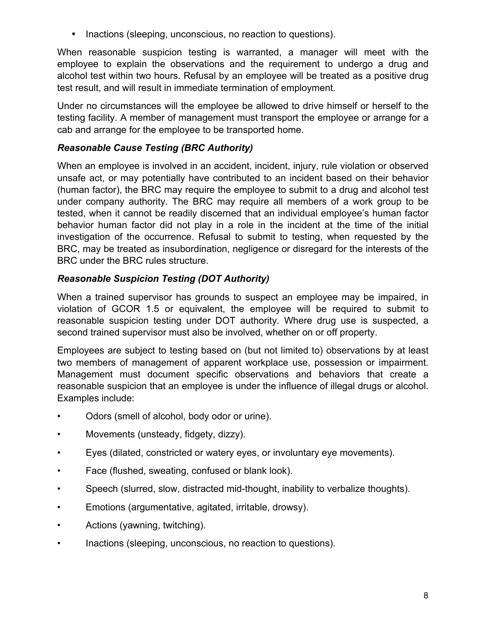• Inactions (sleeping, unconscious, no reaction to questions).

When reasonable suspicion testing is warranted, a manager will meet with the employee to explain the observations and the requirement to undergo a drug and alcohol test within two hours. Refusal by an employee will be treated as a positive drug test result, and will result in immediate termination of employment.

Under no circumstances will the employee be allowed to drive himself or herself to the testing facility. A member of management must transport the employee or arrange for a cab and arrange for the employee to be transported home.

### *Reasonable Cause Testing (BRC Authority)*

When an employee is involved in an accident, incident, injury, rule violation or observed unsafe act, or may potentially have contributed to an incident based on their behavior (human factor), the BRC may require the employee to submit to a drug and alcohol test under company authority. The BRC may require all members of a work group to be tested, when it cannot be readily discerned that an individual employee's human factor behavior human factor did not play in a role in the incident at the time of the initial investigation of the occurrence. Refusal to submit to testing, when requested by the BRC, may be treated as insubordination, negligence or disregard for the interests of the BRC under the BRC rules structure.

### *Reasonable Suspicion Testing (DOT Authority)*

When a trained supervisor has grounds to suspect an employee may be impaired, in violation of GCOR 1.5 or equivalent, the employee will be required to submit to reasonable suspicion testing under DOT authority. Where drug use is suspected, a second trained supervisor must also be involved, whether on or off property.

Employees are subject to testing based on (but not limited to) observations by at least two members of management of apparent workplace use, possession or impairment. Management must document specific observations and behaviors that create a reasonable suspicion that an employee is under the influence of illegal drugs or alcohol. Examples include:

- Odors (smell of alcohol, body odor or urine).
- Movements (unsteady, fidgety, dizzy).
- Eyes (dilated, constricted or watery eyes, or involuntary eye movements).
- Face (flushed, sweating, confused or blank look).
- Speech (slurred, slow, distracted mid-thought, inability to verbalize thoughts).
- Emotions (argumentative, agitated, irritable, drowsy).
- Actions (yawning, twitching).
- Inactions (sleeping, unconscious, no reaction to questions).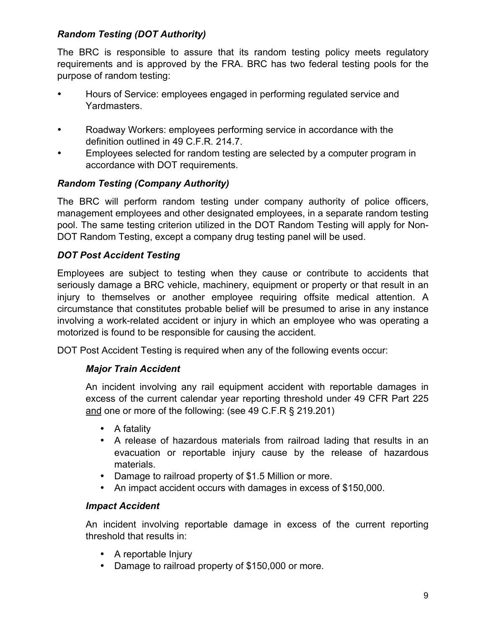# *Random Testing (DOT Authority)*

The BRC is responsible to assure that its random testing policy meets regulatory requirements and is approved by the FRA. BRC has two federal testing pools for the purpose of random testing:

- Hours of Service: employees engaged in performing regulated service and Yardmasters.
- Roadway Workers: employees performing service in accordance with the definition outlined in 49 C.F.R. 214.7.
- Employees selected for random testing are selected by a computer program in accordance with DOT requirements.

# *Random Testing (Company Authority)*

The BRC will perform random testing under company authority of police officers, management employees and other designated employees, in a separate random testing pool. The same testing criterion utilized in the DOT Random Testing will apply for Non-DOT Random Testing, except a company drug testing panel will be used.

# *DOT Post Accident Testing*

Employees are subject to testing when they cause or contribute to accidents that seriously damage a BRC vehicle, machinery, equipment or property or that result in an injury to themselves or another employee requiring offsite medical attention. A circumstance that constitutes probable belief will be presumed to arise in any instance involving a work-related accident or injury in which an employee who was operating a motorized is found to be responsible for causing the accident.

DOT Post Accident Testing is required when any of the following events occur:

#### *Major Train Accident*

An incident involving any rail equipment accident with reportable damages in excess of the current calendar year reporting threshold under 49 CFR Part 225 and one or more of the following: (see 49 C.F.R § 219.201)

- A fatality
- A release of hazardous materials from railroad lading that results in an evacuation or reportable injury cause by the release of hazardous materials.
- Damage to railroad property of \$1.5 Million or more.
- An impact accident occurs with damages in excess of \$150,000.

#### *Impact Accident*

An incident involving reportable damage in excess of the current reporting threshold that results in:

- A reportable Injury
- Damage to railroad property of \$150,000 or more.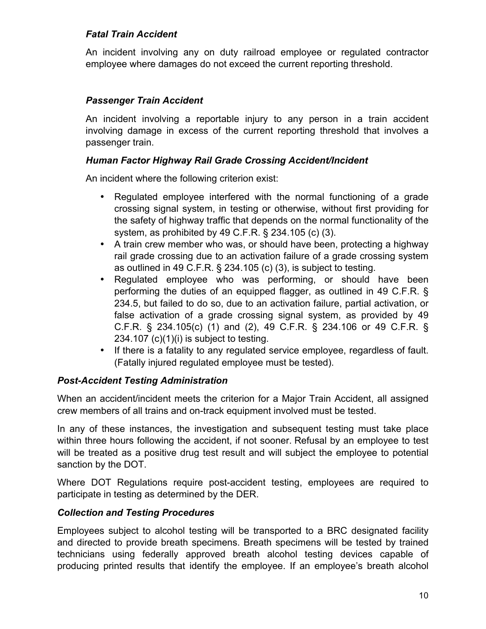### *Fatal Train Accident*

An incident involving any on duty railroad employee or regulated contractor employee where damages do not exceed the current reporting threshold.

### *Passenger Train Accident*

An incident involving a reportable injury to any person in a train accident involving damage in excess of the current reporting threshold that involves a passenger train.

#### *Human Factor Highway Rail Grade Crossing Accident/Incident*

An incident where the following criterion exist:

- Regulated employee interfered with the normal functioning of a grade crossing signal system, in testing or otherwise, without first providing for the safety of highway traffic that depends on the normal functionality of the system, as prohibited by 49 C.F.R. § 234.105 (c) (3).
- A train crew member who was, or should have been, protecting a highway rail grade crossing due to an activation failure of a grade crossing system as outlined in 49 C.F.R. § 234.105 (c) (3), is subject to testing.
- Regulated employee who was performing, or should have been performing the duties of an equipped flagger, as outlined in 49 C.F.R. § 234.5, but failed to do so, due to an activation failure, partial activation, or false activation of a grade crossing signal system, as provided by 49 C.F.R. § 234.105(c) (1) and (2), 49 C.F.R. § 234.106 or 49 C.F.R. § 234.107 (c)(1)(i) is subject to testing.
- If there is a fatality to any regulated service employee, regardless of fault. (Fatally injured regulated employee must be tested).

#### *Post-Accident Testing Administration*

When an accident/incident meets the criterion for a Major Train Accident, all assigned crew members of all trains and on-track equipment involved must be tested.

In any of these instances, the investigation and subsequent testing must take place within three hours following the accident, if not sooner. Refusal by an employee to test will be treated as a positive drug test result and will subject the employee to potential sanction by the DOT.

Where DOT Regulations require post-accident testing, employees are required to participate in testing as determined by the DER.

#### *Collection and Testing Procedures*

Employees subject to alcohol testing will be transported to a BRC designated facility and directed to provide breath specimens. Breath specimens will be tested by trained technicians using federally approved breath alcohol testing devices capable of producing printed results that identify the employee. If an employee's breath alcohol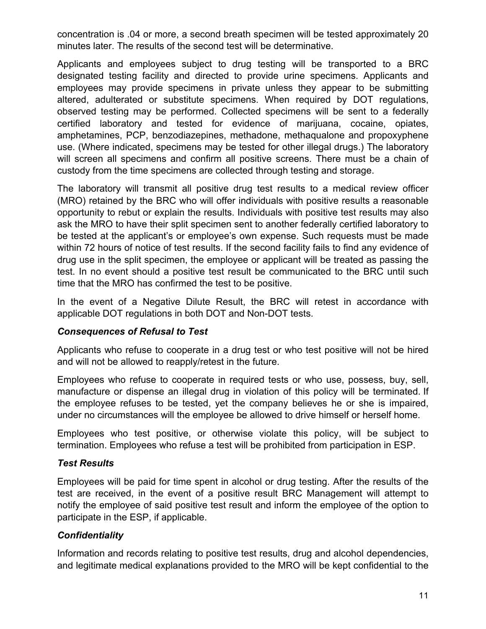concentration is .04 or more, a second breath specimen will be tested approximately 20 minutes later. The results of the second test will be determinative.

Applicants and employees subject to drug testing will be transported to a BRC designated testing facility and directed to provide urine specimens. Applicants and employees may provide specimens in private unless they appear to be submitting altered, adulterated or substitute specimens. When required by DOT regulations, observed testing may be performed. Collected specimens will be sent to a federally certified laboratory and tested for evidence of marijuana, cocaine, opiates, amphetamines, PCP, benzodiazepines, methadone, methaqualone and propoxyphene use. (Where indicated, specimens may be tested for other illegal drugs.) The laboratory will screen all specimens and confirm all positive screens. There must be a chain of custody from the time specimens are collected through testing and storage.

The laboratory will transmit all positive drug test results to a medical review officer (MRO) retained by the BRC who will offer individuals with positive results a reasonable opportunity to rebut or explain the results. Individuals with positive test results may also ask the MRO to have their split specimen sent to another federally certified laboratory to be tested at the applicant's or employee's own expense. Such requests must be made within 72 hours of notice of test results. If the second facility fails to find any evidence of drug use in the split specimen, the employee or applicant will be treated as passing the test. In no event should a positive test result be communicated to the BRC until such time that the MRO has confirmed the test to be positive.

In the event of a Negative Dilute Result, the BRC will retest in accordance with applicable DOT regulations in both DOT and Non-DOT tests.

#### *Consequences of Refusal to Test*

Applicants who refuse to cooperate in a drug test or who test positive will not be hired and will not be allowed to reapply/retest in the future.

Employees who refuse to cooperate in required tests or who use, possess, buy, sell, manufacture or dispense an illegal drug in violation of this policy will be terminated. If the employee refuses to be tested, yet the company believes he or she is impaired, under no circumstances will the employee be allowed to drive himself or herself home.

Employees who test positive, or otherwise violate this policy, will be subject to termination. Employees who refuse a test will be prohibited from participation in ESP.

#### *Test Results*

Employees will be paid for time spent in alcohol or drug testing. After the results of the test are received, in the event of a positive result BRC Management will attempt to notify the employee of said positive test result and inform the employee of the option to participate in the ESP, if applicable.

#### *Confidentiality*

Information and records relating to positive test results, drug and alcohol dependencies, and legitimate medical explanations provided to the MRO will be kept confidential to the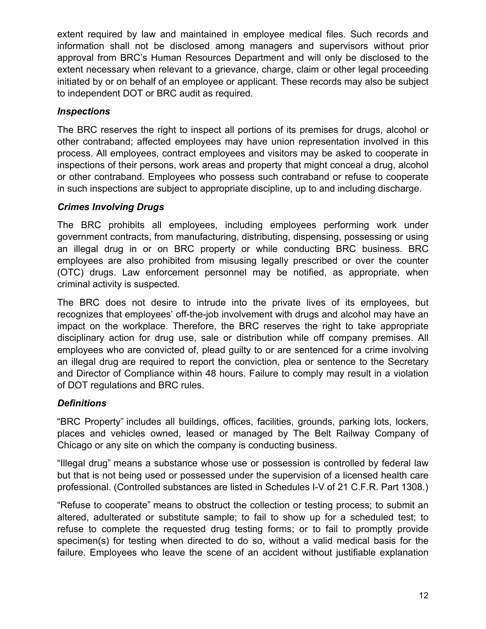extent required by law and maintained in employee medical files. Such records and information shall not be disclosed among managers and supervisors without prior approval from BRC's Human Resources Department and will only be disclosed to the extent necessary when relevant to a grievance, charge, claim or other legal proceeding initiated by or on behalf of an employee or applicant. These records may also be subject to independent DOT or BRC audit as required.

### *Inspections*

The BRC reserves the right to inspect all portions of its premises for drugs, alcohol or other contraband; affected employees may have union representation involved in this process. All employees, contract employees and visitors may be asked to cooperate in inspections of their persons, work areas and property that might conceal a drug, alcohol or other contraband. Employees who possess such contraband or refuse to cooperate in such inspections are subject to appropriate discipline, up to and including discharge.

### *Crimes Involving Drugs*

The BRC prohibits all employees, including employees performing work under government contracts, from manufacturing, distributing, dispensing, possessing or using an illegal drug in or on BRC property or while conducting BRC business. BRC employees are also prohibited from misusing legally prescribed or over the counter (OTC) drugs. Law enforcement personnel may be notified, as appropriate, when criminal activity is suspected.

The BRC does not desire to intrude into the private lives of its employees, but recognizes that employees' off-the-job involvement with drugs and alcohol may have an impact on the workplace. Therefore, the BRC reserves the right to take appropriate disciplinary action for drug use, sale or distribution while off company premises. All employees who are convicted of, plead guilty to or are sentenced for a crime involving an illegal drug are required to report the conviction, plea or sentence to the Secretary and Director of Compliance within 48 hours. Failure to comply may result in a violation of DOT regulations and BRC rules.

# *Definitions*

"BRC Property" includes all buildings, offices, facilities, grounds, parking lots, lockers, places and vehicles owned, leased or managed by The Belt Railway Company of Chicago or any site on which the company is conducting business.

"Illegal drug" means a substance whose use or possession is controlled by federal law but that is not being used or possessed under the supervision of a licensed health care professional. (Controlled substances are listed in Schedules I-V of 21 C.F.R. Part 1308.)

"Refuse to cooperate" means to obstruct the collection or testing process; to submit an altered, adulterated or substitute sample; to fail to show up for a scheduled test; to refuse to complete the requested drug testing forms; or to fail to promptly provide specimen(s) for testing when directed to do so, without a valid medical basis for the failure. Employees who leave the scene of an accident without justifiable explanation